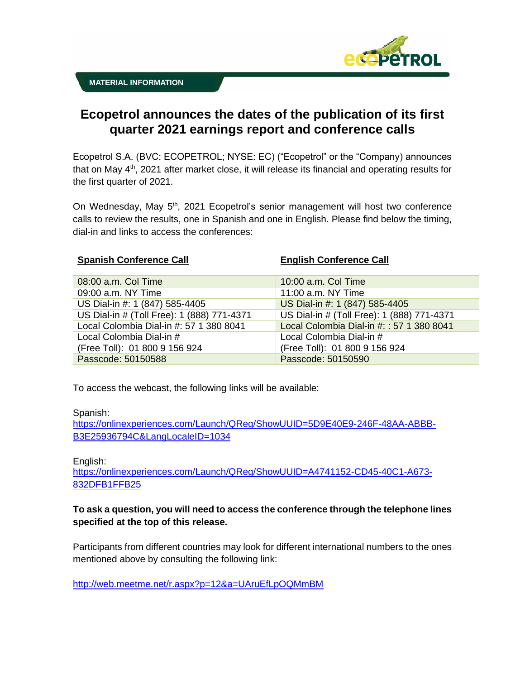

## **Ecopetrol announces the dates of the publication of its first quarter 2021 earnings report and conference calls**

Ecopetrol S.A. (BVC: ECOPETROL; NYSE: EC) ("Ecopetrol" or the "Company) announces that on May 4<sup>th</sup>, 2021 after market close, it will release its financial and operating results for the first quarter of 2021.

On Wednesday, May 5<sup>th</sup>, 2021 Ecopetrol's senior management will host two conference calls to review the results, one in Spanish and one in English. Please find below the timing, dial-in and links to access the conferences:

| <b>Spanish Conference Call</b>             | <b>English Conference Call</b>             |
|--------------------------------------------|--------------------------------------------|
| 08:00 a.m. Col Time                        | 10:00 a.m. Col Time                        |
| 09:00 a.m. NY Time                         | 11:00 a.m. NY Time                         |
| US Dial-in #: 1 (847) 585-4405             | US Dial-in #: 1 (847) 585-4405             |
| US Dial-in # (Toll Free): 1 (888) 771-4371 | US Dial-in # (Toll Free): 1 (888) 771-4371 |
| Local Colombia Dial-in #: 57 1 380 8041    | Local Colombia Dial-in #:: 57 1 380 8041   |
| Local Colombia Dial-in #                   | Local Colombia Dial-in #                   |
| (Free Toll): 01 800 9 156 924              | (Free Toll): 01 800 9 156 924              |
| Passcode: 50150588                         | Passcode: 50150590                         |

To access the webcast, the following links will be available:

Spanish:

[https://onlinexperiences.com/Launch/QReg/ShowUUID=5D9E40E9-246F-48AA-ABBB-](https://onlinexperiences.com/Launch/QReg/ShowUUID=5D9E40E9-246F-48AA-ABBB-B3E25936794C&LangLocaleID=1034)[B3E25936794C&LangLocaleID=1034](https://onlinexperiences.com/Launch/QReg/ShowUUID=5D9E40E9-246F-48AA-ABBB-B3E25936794C&LangLocaleID=1034)

English:

[https://onlinexperiences.com/Launch/QReg/ShowUUID=A4741152-CD45-40C1-A673-](https://onlinexperiences.com/Launch/QReg/ShowUUID=A4741152-CD45-40C1-A673-832DFB1FFB25) [832DFB1FFB25](https://onlinexperiences.com/Launch/QReg/ShowUUID=A4741152-CD45-40C1-A673-832DFB1FFB25)

## **To ask a question, you will need to access the conference through the telephone lines specified at the top of this release.**

Participants from different countries may look for different international numbers to the ones mentioned above by consulting the following link:

<http://web.meetme.net/r.aspx?p=12&a=UAruEfLpOQMmBM>